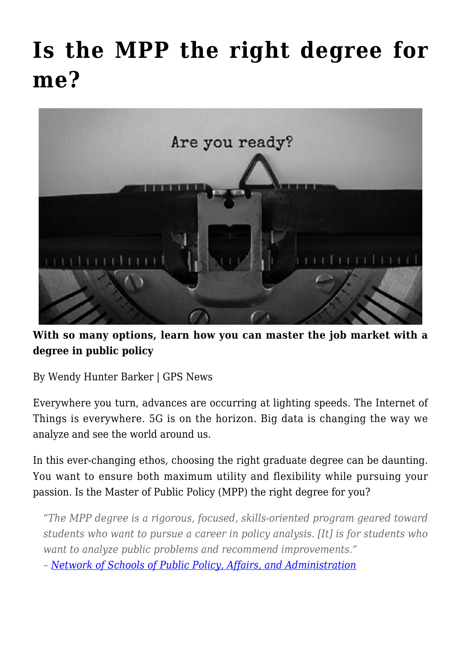## **[Is the MPP the right degree for](https://gpsnews.ucsd.edu/is-the-mpp-the-right-degree-for-me/) [me?](https://gpsnews.ucsd.edu/is-the-mpp-the-right-degree-for-me/)**



**With so many options, learn how you can master the job market with a degree in public policy**

By Wendy Hunter Barker | GPS News

Everywhere you turn, advances are occurring at lighting speeds. The Internet of Things is everywhere. 5G is on the horizon. Big data is changing the way we analyze and see the world around us.

In this ever-changing ethos, choosing the right graduate degree can be daunting. You want to ensure both maximum utility and flexibility while pursuing your passion. Is the Master of Public Policy (MPP) the right degree for you?

*"The MPP degree is a rigorous, focused, skills-oriented program geared toward students who want to pursue a career in policy analysis. [It] is for students who want to analyze public problems and recommend improvements."*

*– [Network of Schools of Public Policy, Affairs, and Administration](https://www.naspaa.org/)*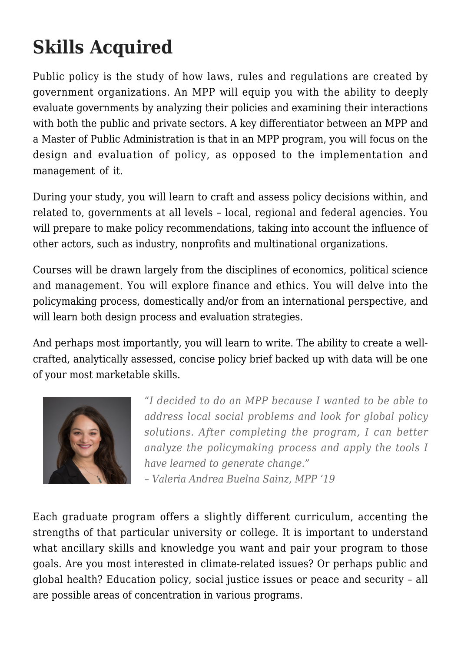## **Skills Acquired**

Public policy is the study of how laws, rules and regulations are created by government organizations. An MPP will equip you with the ability to deeply evaluate governments by analyzing their policies and examining their interactions with both the public and private sectors. A key differentiator between an MPP and a Master of Public Administration is that in an MPP program, you will focus on the design and evaluation of policy, as opposed to the implementation and management of it.

During your study, you will learn to craft and assess policy decisions within, and related to, governments at all levels – local, regional and federal agencies. You will prepare to make policy recommendations, taking into account the influence of other actors, such as industry, nonprofits and multinational organizations.

Courses will be drawn largely from the disciplines of economics, political science and management. You will explore finance and ethics. You will delve into the policymaking process, domestically and/or from an international perspective, and will learn both design process and evaluation strategies.

And perhaps most importantly, you will learn to write. The ability to create a wellcrafted, analytically assessed, concise policy brief backed up with data will be one of your most marketable skills.



*"I decided to do an MPP because I wanted to be able to address local social problems and look for global policy solutions. After completing the program, I can better analyze the policymaking process and apply the tools I have learned to generate change."*

*– Valeria Andrea Buelna Sainz, MPP '19*

Each graduate program offers a slightly different curriculum, accenting the strengths of that particular university or college. It is important to understand what ancillary skills and knowledge you want and pair your program to those goals. Are you most interested in climate-related issues? Or perhaps public and global health? Education policy, social justice issues or peace and security – all are possible areas of concentration in various programs.